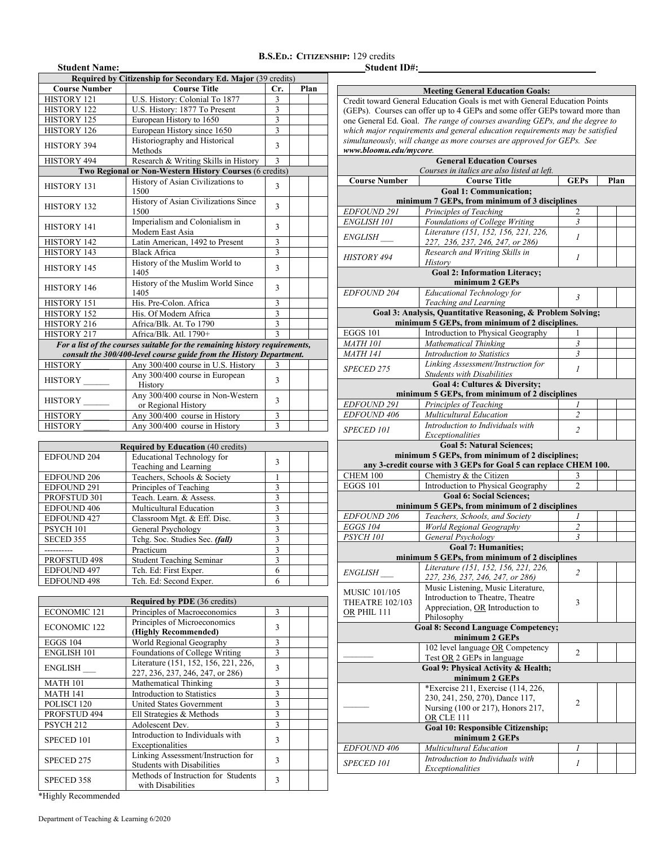## **B.S.ED.: CITIZENSHIP: 129 credits Student ID#:**

|  | <b>Student Name:</b> |  |
|--|----------------------|--|
|  |                      |  |

| энийн гашь.          |                                                                                                                                                   |                |  |  |  |  |  |
|----------------------|---------------------------------------------------------------------------------------------------------------------------------------------------|----------------|--|--|--|--|--|
|                      | Required by Citizenship for Secondary Ed. Major (39 credits)                                                                                      |                |  |  |  |  |  |
| <b>Course Number</b> | Cr.                                                                                                                                               | Plan           |  |  |  |  |  |
| <b>HISTORY 121</b>   | U.S. History: Colonial To 1877                                                                                                                    | 3              |  |  |  |  |  |
| <b>HISTORY 122</b>   | U.S. History: 1877 To Present                                                                                                                     | 3              |  |  |  |  |  |
| HISTORY 125          | European History to 1650                                                                                                                          | $\overline{3}$ |  |  |  |  |  |
| <b>HISTORY 126</b>   | European History since 1650                                                                                                                       | 3              |  |  |  |  |  |
| <b>HISTORY 394</b>   | Historiography and Historical<br>Methods                                                                                                          | 3              |  |  |  |  |  |
| HISTORY 494          | Research & Writing Skills in History                                                                                                              | 3              |  |  |  |  |  |
|                      | Two Regional or Non-Western History Courses (6 credits)                                                                                           |                |  |  |  |  |  |
| HISTORY 131          | History of Asian Civilizations to<br>1500                                                                                                         | 3              |  |  |  |  |  |
| <b>HISTORY 132</b>   | History of Asian Civilizations Since<br>1500                                                                                                      | 3              |  |  |  |  |  |
| <b>HISTORY 141</b>   | Imperialism and Colonialism in<br>Modern East Asia                                                                                                | 3              |  |  |  |  |  |
| HISTORY 142          | Latin American, 1492 to Present                                                                                                                   | 3              |  |  |  |  |  |
| <b>HISTORY 143</b>   | <b>Black Africa</b>                                                                                                                               | 3              |  |  |  |  |  |
| <b>HISTORY 145</b>   | History of the Muslim World to<br>1405                                                                                                            | 3              |  |  |  |  |  |
| HISTORY 146          | History of the Muslim World Since<br>1405                                                                                                         | 3              |  |  |  |  |  |
| HISTORY 151          | His. Pre-Colon. Africa                                                                                                                            | 3              |  |  |  |  |  |
| <b>HISTORY 152</b>   | His. Of Modern Africa                                                                                                                             | 3              |  |  |  |  |  |
| HISTORY 216          | Africa/Blk. At. To 1790                                                                                                                           | 3              |  |  |  |  |  |
| <b>HISTORY 217</b>   | Africa/Blk. Atl. 1790+                                                                                                                            | $\overline{3}$ |  |  |  |  |  |
|                      | For a list of the courses suitable for the remaining history requirements,<br>consult the 300/400-level course guide from the History Department. |                |  |  |  |  |  |
| <b>HISTORY</b>       | Any 300/400 course in U.S. History                                                                                                                | 3              |  |  |  |  |  |
| <b>HISTORY</b>       | Any 300/400 course in European<br><b>History</b>                                                                                                  | 3              |  |  |  |  |  |
| <b>HISTORY</b>       | Any 300/400 course in Non-Western<br>or Regional History                                                                                          | 3              |  |  |  |  |  |
| <b>HISTORY</b>       | Any 300/400 course in History                                                                                                                     | 3              |  |  |  |  |  |
| <b>HISTORY</b>       | Any 300/400 course in History                                                                                                                     | 3              |  |  |  |  |  |
|                      |                                                                                                                                                   |                |  |  |  |  |  |
|                      | <b>Required by Education (40 credits)</b>                                                                                                         |                |  |  |  |  |  |
| <b>EDFOUND 204</b>   | <b>Educational Technology for</b>                                                                                                                 |                |  |  |  |  |  |
|                      | Teaching and Learning                                                                                                                             | 3              |  |  |  |  |  |
| <b>EDFOUND 206</b>   | Teachers, Schools & Society                                                                                                                       | 1              |  |  |  |  |  |
| EDFOUND 291          | Principles of Teaching                                                                                                                            | 3              |  |  |  |  |  |
| <b>DDOECTHIN 201</b> | Topph Logger & Aggoog                                                                                                                             | $\overline{2}$ |  |  |  |  |  |

| EDFOUND 291          | Principles of Teaching          |   |  |
|----------------------|---------------------------------|---|--|
| PROFSTUD 301         | Teach. Learn. & Assess.         | 3 |  |
| <b>EDFOUND 406</b>   | Multicultural Education         | 3 |  |
| <b>EDFOUND 427</b>   | Classroom Mgt. & Eff. Disc.     | 3 |  |
| PSYCH <sub>101</sub> | General Psychology              | 3 |  |
| SECED 355            | Tchg. Soc. Studies Sec. (fall)  | 3 |  |
|                      | Practicum                       | ٩ |  |
| PROFSTUD 498         | <b>Student Teaching Seminar</b> | 3 |  |
| <b>EDFOUND 497</b>   | Tch. Ed: First Exper.           | 6 |  |
| <b>EDFOUND 498</b>   | Tch. Ed: Second Exper.          | 6 |  |
|                      |                                 |   |  |

| <b>Required by PDE</b> (36 credits) |                                                                          |   |  |  |  |
|-------------------------------------|--------------------------------------------------------------------------|---|--|--|--|
| <b>ECONOMIC 121</b>                 | 3                                                                        |   |  |  |  |
| ECONOMIC <sub>122</sub>             | Principles of Microeconomics<br>(Highly Recommended)                     | 3 |  |  |  |
| <b>EGGS 104</b>                     | World Regional Geography                                                 | 3 |  |  |  |
| <b>ENGLISH 101</b>                  | Foundations of College Writing                                           | 3 |  |  |  |
| ENGLISH                             | Literature (151, 152, 156, 221, 226,<br>227, 236, 237, 246, 247, or 286) | 3 |  |  |  |
| <b>MATH 101</b>                     | 3                                                                        |   |  |  |  |
| <b>MATH 141</b>                     | <b>Introduction to Statistics</b>                                        |   |  |  |  |
| POLISCI <sub>120</sub>              | United States Government                                                 | 3 |  |  |  |
| PROFSTUD 494                        | Ell Strategies & Methods                                                 | 3 |  |  |  |
| PSYCH <sub>212</sub>                | Adolescent Dev.                                                          | 3 |  |  |  |
| SPECED 101                          | Introduction to Individuals with<br>Exceptionalities                     | 3 |  |  |  |
| SPECED 275                          | Linking Assessment/Instruction for<br><b>Students with Disabilities</b>  | 3 |  |  |  |
| SPECED 358                          | Methods of Instruction for Students<br>with Disabilities                 | 3 |  |  |  |

**Meeting General Education Goals:** Credit toward General Education Goals is met with General Education Points (GEPs). Courses can offer up to 4 GEPs and some offer GEPs toward more than one General Ed. Goal. *The range of courses awarding GEPs, and the degree to which major requirements and general education requirements may be satisfied simultaneously, will change as more courses are approved for GEPs. See www.bloomu.edu/mycore.*

| <b>General Education Courses</b>                                                                                  |                                                                                                                    |                |  |  |  |  |  |  |  |
|-------------------------------------------------------------------------------------------------------------------|--------------------------------------------------------------------------------------------------------------------|----------------|--|--|--|--|--|--|--|
| Courses in italics are also listed at left.<br><b>Course Number</b><br><b>Course Title</b><br><b>GEPs</b><br>Plan |                                                                                                                    |                |  |  |  |  |  |  |  |
|                                                                                                                   | <b>Goal 1: Communication;</b>                                                                                      |                |  |  |  |  |  |  |  |
|                                                                                                                   | minimum 7 GEPs, from minimum of 3 disciplines                                                                      |                |  |  |  |  |  |  |  |
| EDFOUND 291                                                                                                       | Principles of Teaching                                                                                             | 2              |  |  |  |  |  |  |  |
| ENGLISH 101                                                                                                       | Foundations of College Writing                                                                                     | 3              |  |  |  |  |  |  |  |
| <i>ENGLISH</i>                                                                                                    | Literature (151, 152, 156, 221, 226,                                                                               | 1              |  |  |  |  |  |  |  |
|                                                                                                                   | 227, 236, 237, 246, 247, or 286)                                                                                   |                |  |  |  |  |  |  |  |
| <b>HISTORY 494</b>                                                                                                | Research and Writing Skills in<br>History                                                                          | 1              |  |  |  |  |  |  |  |
| <b>Goal 2: Information Literacy;</b><br>minimum 2 GEPs                                                            |                                                                                                                    |                |  |  |  |  |  |  |  |
| EDFOUND 204                                                                                                       | Educational Technology for                                                                                         |                |  |  |  |  |  |  |  |
|                                                                                                                   | Teaching and Learning                                                                                              | 3              |  |  |  |  |  |  |  |
|                                                                                                                   | Goal 3: Analysis, Quantitative Reasoning, & Problem Solving;                                                       |                |  |  |  |  |  |  |  |
|                                                                                                                   | minimum 5 GEPs, from minimum of 2 disciplines.                                                                     |                |  |  |  |  |  |  |  |
| EGGS 101                                                                                                          | Introduction to Physical Geography                                                                                 | 1              |  |  |  |  |  |  |  |
| <b>MATH 101</b>                                                                                                   | Mathematical Thinking                                                                                              | 3              |  |  |  |  |  |  |  |
| <i>MATH 141</i>                                                                                                   | Introduction to Statistics                                                                                         | 3              |  |  |  |  |  |  |  |
| SPECED 275                                                                                                        | Linking Assessment/Instruction for<br><b>Students with Disabilities</b>                                            | $\mathcal{I}$  |  |  |  |  |  |  |  |
|                                                                                                                   | <b>Goal 4: Cultures &amp; Diversity:</b>                                                                           |                |  |  |  |  |  |  |  |
| EDFOUND 291                                                                                                       | minimum 5 GEPs, from minimum of 2 disciplines<br>Principles of Teaching                                            |                |  |  |  |  |  |  |  |
| <b>EDFOUND 406</b>                                                                                                | Multicultural Education                                                                                            | 2              |  |  |  |  |  |  |  |
| SPECED 101                                                                                                        | Introduction to Individuals with                                                                                   |                |  |  |  |  |  |  |  |
|                                                                                                                   | Exceptionalities                                                                                                   | $\overline{2}$ |  |  |  |  |  |  |  |
|                                                                                                                   | <b>Goal 5: Natural Sciences:</b>                                                                                   |                |  |  |  |  |  |  |  |
|                                                                                                                   | minimum 5 GEPs, from minimum of 2 disciplines;<br>any 3-credit course with 3 GEPs for Goal 5 can replace CHEM 100. |                |  |  |  |  |  |  |  |
| CHEM 100                                                                                                          | Chemistry & the Citizen                                                                                            | 3              |  |  |  |  |  |  |  |
| <b>EGGS 101</b>                                                                                                   | Introduction to Physical Geography                                                                                 | $\overline{c}$ |  |  |  |  |  |  |  |
|                                                                                                                   | <b>Goal 6: Social Sciences:</b>                                                                                    |                |  |  |  |  |  |  |  |
|                                                                                                                   | minimum 5 GEPs, from minimum of 2 disciplines                                                                      |                |  |  |  |  |  |  |  |
| EDFOUND 206                                                                                                       | Teachers, Schools, and Society                                                                                     | 1              |  |  |  |  |  |  |  |
| EGGS 104                                                                                                          | World Regional Geography                                                                                           | 2              |  |  |  |  |  |  |  |
| PSYCH <sub>101</sub>                                                                                              | General Psychology                                                                                                 | $\overline{3}$ |  |  |  |  |  |  |  |
| <b>Goal 7: Humanities;</b><br>minimum 5 GEPs, from minimum of 2 disciplines                                       |                                                                                                                    |                |  |  |  |  |  |  |  |
|                                                                                                                   | Literature (151, 152, 156, 221, 226,                                                                               |                |  |  |  |  |  |  |  |
| <i>ENGLISH</i>                                                                                                    | 227, 236, 237, 246, 247, or 286)                                                                                   | 2              |  |  |  |  |  |  |  |
| <b>MUSIC 101/105</b>                                                                                              | Music Listening, Music Literature,                                                                                 |                |  |  |  |  |  |  |  |
| <b>THEATRE 102/103</b>                                                                                            | Introduction to Theatre, Theatre                                                                                   | 3              |  |  |  |  |  |  |  |
| OR PHIL 111                                                                                                       | Appreciation, OR Introduction to<br>Philosophy                                                                     |                |  |  |  |  |  |  |  |
|                                                                                                                   | <b>Goal 8: Second Language Competency;</b>                                                                         |                |  |  |  |  |  |  |  |
|                                                                                                                   | minimum 2 GEPs                                                                                                     |                |  |  |  |  |  |  |  |
|                                                                                                                   | 102 level language OR Competency                                                                                   | 2              |  |  |  |  |  |  |  |
|                                                                                                                   | Test OR 2 GEPs in language<br>Goal 9: Physical Activity & Health;                                                  |                |  |  |  |  |  |  |  |
|                                                                                                                   | minimum 2 GEPs                                                                                                     |                |  |  |  |  |  |  |  |
|                                                                                                                   | *Exercise 211, Exercise (114, 226,                                                                                 |                |  |  |  |  |  |  |  |
|                                                                                                                   | 230, 241, 250, 270), Dance 117,                                                                                    | 2              |  |  |  |  |  |  |  |
|                                                                                                                   | Nursing (100 or 217), Honors 217,<br>OR CLE 111                                                                    |                |  |  |  |  |  |  |  |
|                                                                                                                   | <b>Goal 10: Responsible Citizenship;</b>                                                                           |                |  |  |  |  |  |  |  |
|                                                                                                                   | minimum 2 GEPs                                                                                                     |                |  |  |  |  |  |  |  |
| <i>EDFOUND 406</i>                                                                                                | Multicultural Education                                                                                            | 1              |  |  |  |  |  |  |  |
| SPECED 101                                                                                                        | Introduction to Individuals with<br>Exceptionalities                                                               | 1              |  |  |  |  |  |  |  |
|                                                                                                                   |                                                                                                                    |                |  |  |  |  |  |  |  |

\*Highly Recommended